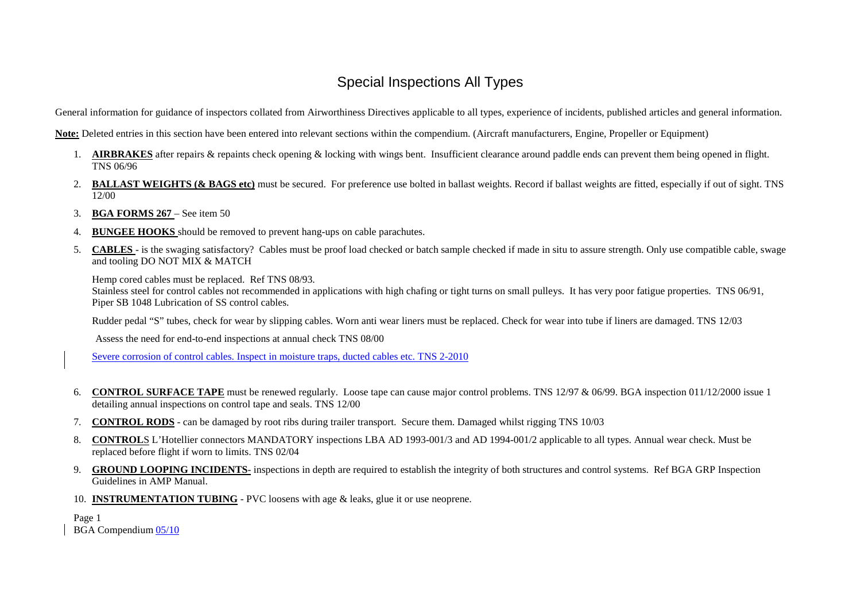General information for guidance of inspectors collated from Airworthiness Directives applicable to all types, experience of incidents, published articles and general information.

**Note:** Deleted entries in this section have been entered into relevant sections within the compendium. (Aircraft manufacturers, Engine, Propeller or Equipment)

- 1. **AIRBRAKES** after repairs & repaints check opening & locking with wings bent. Insufficient clearance around paddle ends can preven<sup>t</sup> them being opened in flight. TNS 06/96
- 2. **BALLAST WEIGHTS (& BAGS etc)** must be secured. For preference use bolted in ballast weights. Record if ballast weights are fitted, especially if out of sight. TNS 12/00
- 3.**BGA FORMS 267** – See item 50
- 4.**BUNGEE HOOKS** should be removed to preven<sup>t</sup> hang-ups on cable parachutes.
- 5.. **CABLES** - is the swaging satisfactory? Cables must be proof load checked or batch sample checked if made in situ to assure strength. Only use compatible cable, swage and tooling DO NOT MIX & MATCH

Hemp cored cables must be replaced. Ref TNS 08/93.

Stainless steel for control cables not recommended in applications with high chafing or tight turns on small pulleys. It has very poor fatigue properties. TNS 06/91, Piper SB 1048 Lubrication of SS control cables.

Rudder pedal "S" tubes, check for wear by slipping cables. Worn anti wear liners must be replaced. Check for wear into tube if liners are damaged. TNS 12/03

Assess the need for end-to-end inspections at annual check TNS 08/00

Severe corrosion of control cables. Inspect in moisture traps, ducted cables etc. TNS 2-2010

- 6. **CONTROL SURFACE TAPE** must be renewed regularly. Loose tape can cause major control problems. TNS 12/97 & 06/99. BGA inspection 011/12/2000 issue 1 detailing annual inspections on control tape and seals. TNS 12/00
- 7.**CONTROL RODS** - can be damaged by root ribs during trailer transport. Secure them. Damaged whilst rigging TNS 10/03
- 8. **CONTROL**S L'Hotellier connectors MANDATORY inspections LBA AD 1993-001/3 and AD 1994-001/2 applicable to all types. Annual wear check. Must be replaced before flight if worn to limits. TNS 02/04
- 9. **GROUND LOOPING INCIDENTS**- inspections in depth are required to establish the integrity of both structures and control systems. Ref BGA GRP Inspection Guidelines in AMP Manual.
- 10. **INSTRUMENTATION TUBING** PVC loosens with age & leaks, glue it or use neoprene.

Page 1 BGA Compendium <u>05/10</u>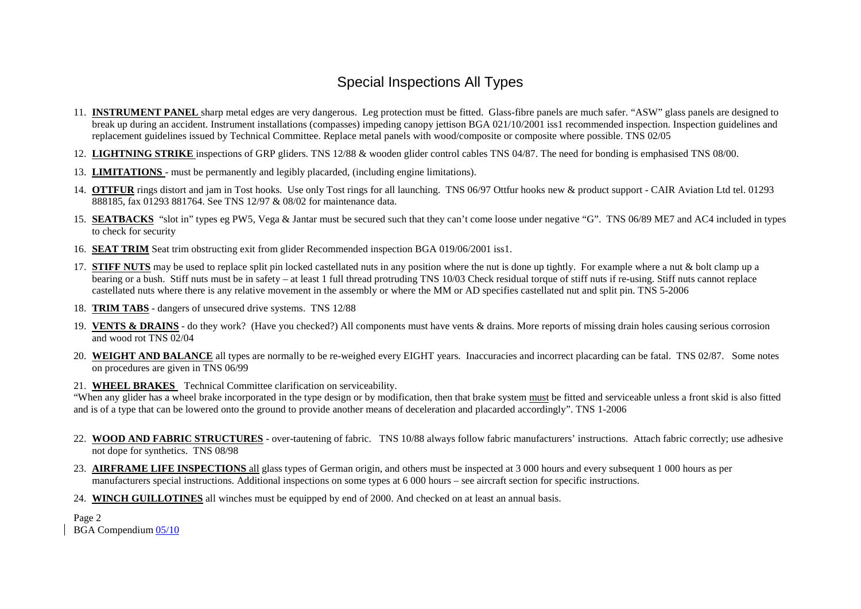- 11. **INSTRUMENT PANEL** sharp metal edges are very dangerous. Leg protection must be fitted. Glass-fibre panels are much safer. "ASW" glass panels are designed to break up during an accident. Instrument installations (compasses) impeding canopy jettison BGA 021/10/2001 iss1 recommended inspection. Inspection guidelines and replacement guidelines issued by Technical Committee. Replace metal panels with wood/composite or composite where possible. TNS 02/05
- 12. **LIGHTNING STRIKE** inspections of GRP gliders. TNS 12/88 & wooden glider control cables TNS 04/87. The need for bonding is emphasised TNS 08/00.
- 13. **LIMITATIONS** must be permanently and legibly placarded, (including engine limitations).
- 14. **OTTFUR** rings distort and jam in Tost hooks. Use only Tost rings for all launching. TNS 06/97 Ottfur hooks new & product suppor<sup>t</sup> CAIR Aviation Ltd tel. 01293 888185, fax 01293 881764. See TNS 12/97 & 08/02 for maintenance data.
- 15. **SEATBACKS** "slot in" types eg PW5, Vega & Jantar must be secured such that they can't come loose under negative "G". TNS 06/89 ME7 and AC4 included in types to check for security
- 16. **SEAT TRIM** Seat trim obstructing exit from glider Recommended inspection BGA 019/06/2001 iss1.
- 17. **STIFF NUTS** may be used to replace split pin locked castellated nuts in any position where the nut is done up tightly. For example where <sup>a</sup> nut & bolt clamp up <sup>a</sup> bearing or <sup>a</sup> bush. Stiff nuts must be in safety – at least 1 full thread protruding TNS 10/03 Check residual torque of stiff nuts if re-using. Stiff nuts cannot replace castellated nuts where there is any relative movement in the assembly or where the MM or AD specifies castellated nut and split pin. TNS 5-2006
- 18. **TRIM TABS** dangers of unsecured drive systems. TNS 12/88
- 19. **VENTS & DRAINS** do they work? (Have you checked?) All components must have vents & drains. More reports of missing drain holes causing serious corrosion and wood rot TNS 02/04
- 20. **WEIGHT AND BALANCE** all types are normally to be re-weighed every EIGHT years. Inaccuracies and incorrect placarding can be fatal. TNS 02/87. Some notes on procedures are given in TNS 06/99
- 21. **WHEEL BRAKES** Technical Committee clarification on serviceability.

"When any glider has a wheel brake incorporated in the type design or by modification, then that brake system must be fitted and serviceable unless a front skid is also fitted and is of <sup>a</sup> type that can be lowered onto the ground to provide another means of deceleration and placarded accordingly". TNS 1-2006

- 22. **WOOD AND FABRIC STRUCTURES** over-tautening of fabric. TNS 10/88 always follow fabric manufacturers' instructions. Attach fabric correctly; use adhesive not dope for synthetics. TNS 08/98
- 23. **AIRFRAME LIFE INSPECTIONS** all glass types of German origin, and others must be inspected at 3 000 hours and every subsequent 1 000 hours as per manufacturers special instructions. Additional inspections on some types at 6 000 hours – see aircraft section for specific instructions.
- 24. **WINCH GUILLOTINES** all winches must be equipped by end of 2000. And checked on at least an annual basis.

Page 2 BGA Compendium <u>05/10</u>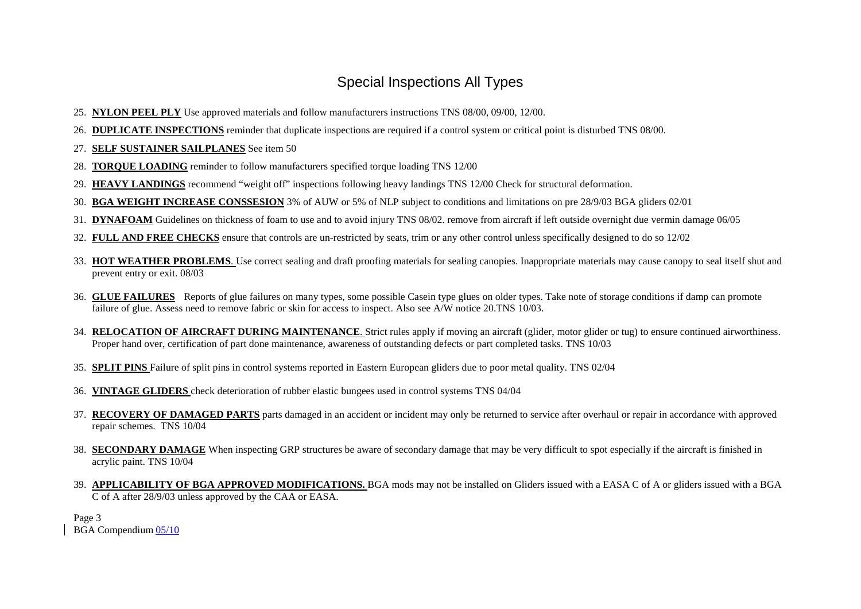- 25. **NYLON PEEL PLY** Use approved materials and follow manufacturers instructions TNS 08/00, 09/00, 12/00.
- 26. **DUPLICATE INSPECTIONS** reminder that duplicate inspections are required if <sup>a</sup> control system or critical point is disturbed TNS 08/00.
- 27. **SELF SUSTAINER SAILPLANES** See item 50
- 28. **TORQUE LOADING** reminder to follow manufacturers specified torque loading TNS 12/00
- 29. **HEAVY LANDINGS** recommend "weight off" inspections following heavy landings TNS 12/00 Check for structural deformation.
- 30. **BGA WEIGHT INCREASE CONSSESION** 3% of AUW or 5% of NLP subject to conditions and limitations on pre 28/9/03 BGA gliders 02/01
- 31. **DYNAFOAM** Guidelines on thickness of foam to use and to avoid injury TNS 08/02. remove from aircraft if left outside overnight due vermin damage 06/05
- 32. **FULL AND FREE CHECKS** ensure that controls are un-restricted by seats, trim or any other control unless specifically designed to do so 12/02
- 33. **HOT WEATHER PROBLEMS**. Use correct sealing and draft proofing materials for sealing canopies. Inappropriate materials may cause canopy to seal itself shut and preven<sup>t</sup> entry or exit. 08/03
- 36. **GLUE FAILURES** Reports of glue failures on many types, some possible Casein type glues on older types. Take note of storage conditions if damp can promote failure of glue. Assess need to remove fabric or skin for access to inspect. Also see A/W notice 20.TNS 10/03.
- 34. **RELOCATION OF AIRCRAFT DURING MAINTENANCE**. Strict rules apply if moving an aircraft (glider, motor glider or tug) to ensure continued airworthiness. Proper hand over, certification of par<sup>t</sup> done maintenance, awareness of outstanding defects or par<sup>t</sup> completed tasks. TNS 10/03
- 35. **SPLIT PINS** Failure of split pins in control systems reported in Eastern European gliders due to poor metal quality. TNS 02/04
- 36. **VINTAGE GLIDERS** check deterioration of rubber elastic bungees used in control systems TNS 04/04
- 37. **RECOVERY OF DAMAGED PARTS** parts damaged in an accident or incident may only be returned to service after overhaul or repair in accordance with approved repair schemes. TNS 10/04
- 38. **SECONDARY DAMAGE** When inspecting GRP structures be aware of secondary damage that may be very difficult to spo<sup>t</sup> especially if the aircraft is finished in acrylic paint. TNS 10/04
- 39. **APPLICABILITY OF BGA APPROVED MODIFICATIONS.** BGA mods may not be installed on Gliders issued with <sup>a</sup> EASA C of A or gliders issued with <sup>a</sup> BGA C of A after 28/9/03 unless approved by the CAA or EASA.

Page 3 BGA Compendium <u>05/10</u>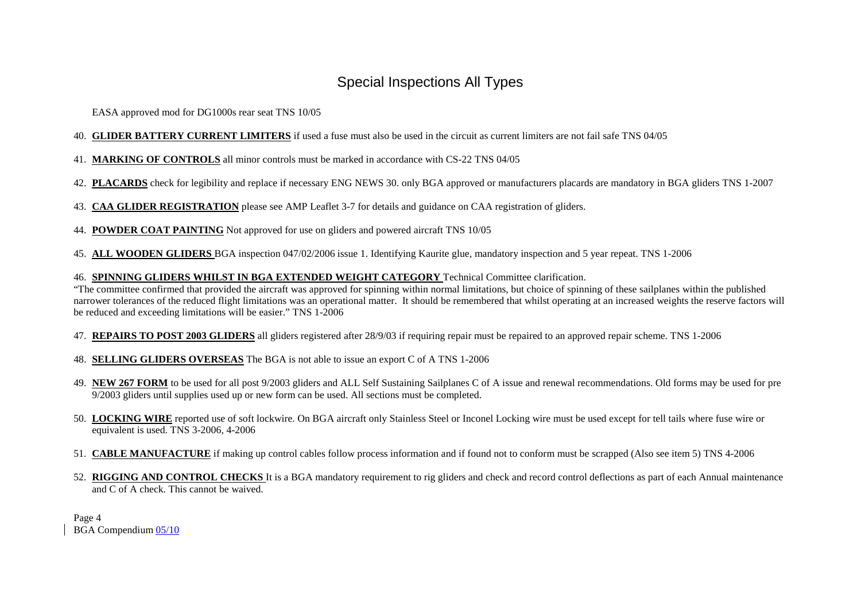EASA approved mod for DG1000s rear seat TNS 10/05

- 40. **GLIDER BATTERY CURRENT LIMITERS** if used <sup>a</sup> fuse must also be used in the circuit as current limiters are not fail safe TNS 04/05
- 41. **MARKING OF CONTROLS** all minor controls must be marked in accordance with CS-22 TNS 04/05
- 42. **PLACARDS** check for legibility and replace if necessary ENG NEWS 30. only BGA approved or manufacturers placards are mandatory in BGA gliders TNS 1-2007
- 43. **CAA GLIDER REGISTRATION** please see AMP Leaflet 3-7 for details and guidance on CAA registration of gliders.
- 44. **POWDER COAT PAINTING** Not approved for use on gliders and powered aircraft TNS 10/05
- 45. **ALL WOODEN GLIDERS** BGA inspection 047/02/2006 issue 1. Identifying Kaurite glue, mandatory inspection and 5 year repeat. TNS 1-2006
- 46. **SPINNING GLIDERS WHILST IN BGA EXTENDED WEIGHT CATEGORY** Technical Committee clarification.

"The committee confirmed that provided the aircraft was approved for spinning within normal limitations, but choice of spinning of these sailplanes within the published narrower tolerances of the reduced flight limitations was an operational matter. It should be remembered that whilst operating at an increased weights the reserve factors will be reduced and exceeding limitations will be easier." TNS 1-2006

- 47. **REPAIRS TO POST 2003 GLIDERS** all gliders registered after 28/9/03 if requiring repair must be repaired to an approved repair scheme. TNS 1-2006
- 48. **SELLING GLIDERS OVERSEAS** The BGA is not able to issue an expor<sup>t</sup> C of A TNS 1-2006
- 49. **NEW 267 FORM** to be used for all pos<sup>t</sup> 9/2003 gliders and ALL Self Sustaining Sailplanes C of A issue and renewal recommendations. Old forms may be used for pre 9/2003 gliders until supplies used up or new form can be used. All sections must be completed.
- 50. **LOCKING WIRE** reported use of soft lockwire. On BGA aircraft only Stainless Steel or Inconel Locking wire must be used excep<sup>t</sup> for tell tails where fuse wire or equivalent is used. TNS 3-2006, 4-2006
- 51. **CABLE MANUFACTURE** if making up control cables follow process information and if found not to conform must be scrapped (Also see item 5) TNS 4-2006
- 52. **RIGGING AND CONTROL CHECKS** It is <sup>a</sup> BGA mandatory requirement to rig gliders and check and record control deflections as par<sup>t</sup> of each Annual maintenance and C of A check. This cannot be waived.

Page 4 BGA Compendium <u>05/10</u>